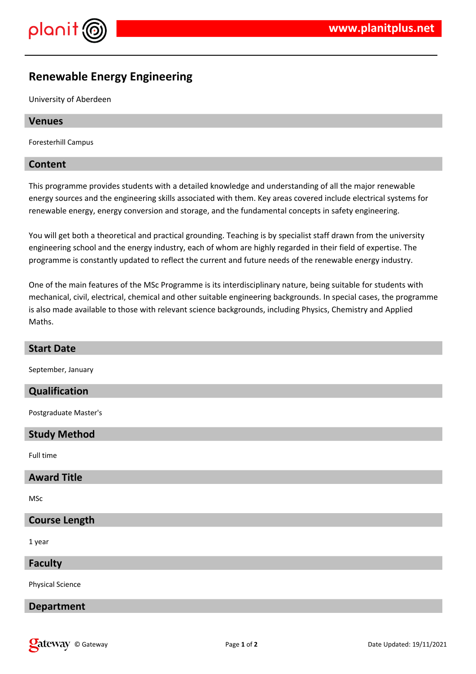

# **Renewable Energy Engineering**

University of Aberdeen

# **Venues**

Foresterhill Campus

# **Content**

This programme provides students with a detailed knowledge and understanding of all the major renewable energy sources and the engineering skills associated with them. Key areas covered include electrical systems for renewable energy, energy conversion and storage, and the fundamental concepts in safety engineering.

You will get both a theoretical and practical grounding. Teaching is by specialist staff drawn from the university engineering school and the energy industry, each of whom are highly regarded in their field of expertise. The programme is constantly updated to reflect the current and future needs of the renewable energy industry.

One of the main features of the MSc Programme is its interdisciplinary nature, being suitable for students with mechanical, civil, electrical, chemical and other suitable engineering backgrounds. In special cases, the programme is also made available to those with relevant science backgrounds, including Physics, Chemistry and Applied Maths.

| <b>Start Date</b>       |
|-------------------------|
| September, January      |
| Qualification           |
| Postgraduate Master's   |
| <b>Study Method</b>     |
| Full time               |
| <b>Award Title</b>      |
| <b>MSc</b>              |
| <b>Course Length</b>    |
| 1 year                  |
| <b>Faculty</b>          |
| <b>Physical Science</b> |
| <b>Department</b>       |